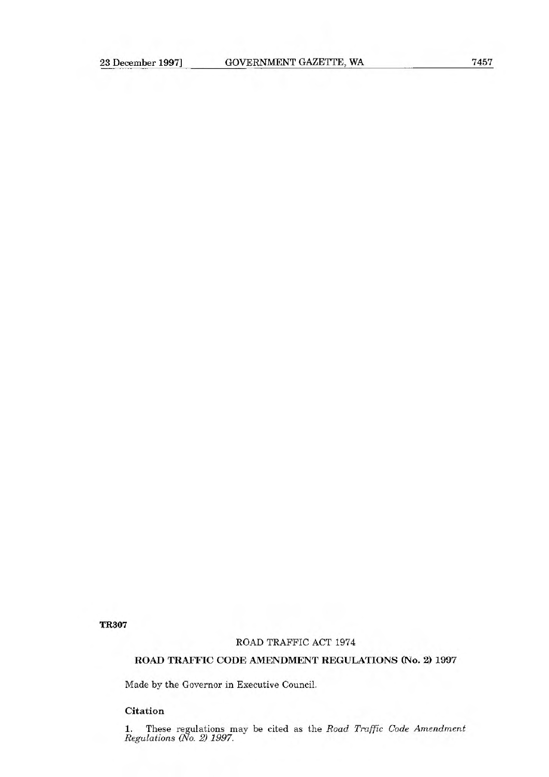'IR307

### ROAD TRAFFIC ACT 1974

# **ROAD TRAFFIC CODE AMENDMENT REGULATIONS (No. 2) 1997**

Made by the Governor in Executive Council.

## **Citation**

1. These regulations may be cited as the *Road Traffic Code Amendment Regulations (No. 2) 1997.*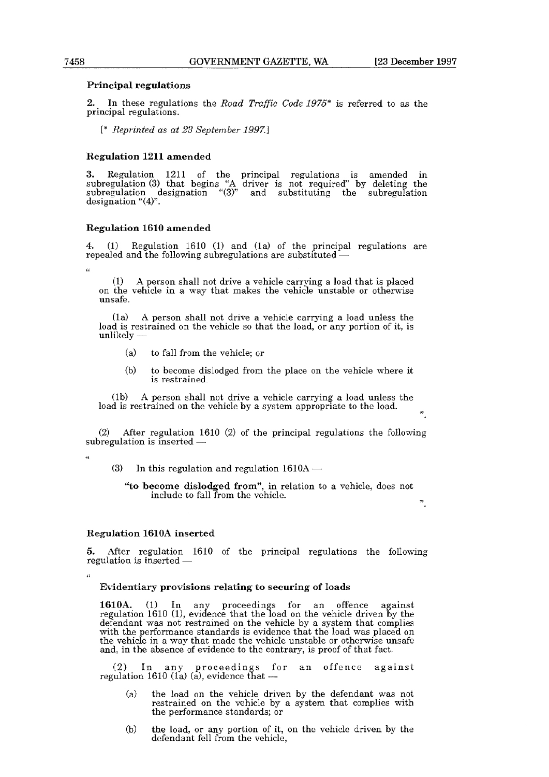#### **Principal regulations**

2. In these regulations the *Road Traffic Code 1975\** is referred to as the principal regulations.

[\* *Reprinted as at 23 September 1997.]* 

#### **Regulation 1211 amended**

3. Regulation 1211 of the principal regulations is amended in subregulation (3) that begins "A driver is not required" by deleting the subregulation designation "(3)" and substituting the subregulation designation "(4)".

#### **Regulation 1610 amended**

Regulation 1610 (1) and (1a) of the principal regulations are repealed and the following subregulations are substituted -

 $\mathfrak{c}$ 

(1) A person shall not drive a vehicle carrying a load that is placed on the vehicle in a way that makes the vehicle unstable or otherwise unsafe.

(la) A person shall not drive a vehicle carrying a load unless the load is restrained on the vehicle so that the load, or any portion of it, is unlikely -

- (a) to fall from the vehicle; or
- (b) to become dislodged from the place on the vehicle where it is restrained.

(ib) A person shall not drive a vehicle carrying a load unless the load is restrained on the vehicle by a system appropriate to the load.

it

(2) After regulation 1610 (2) of the principal regulations the following  $subregulation$  is inserted  $-$ 

 $\epsilon$ 

49

 $(3)$  In this regulation and regulation 1610A  $-$ 

**"to become dislodged from",** in relation to a vehicle, does not include to fall from the vehicle.

it

### **Regulation 1610A inserted**

5. After regulation 1610 of the principal regulations the following regulation is inserted -

#### **Evidentiary provisions relating to securing of loads**

1610A. (1) In any proceedings for an offence against regulation 1610 (1), evidence that the load on the vehicle driven by the defendant was not restrained on the vehicle by a system that complies with the performance standards is evidence that the load was placed on the vehicle in a way that made the vehicle unstable or otherwise unsafe and, in the absence of evidence to the contrary, is proof of that fact.

(2) In any proceedings for an offence against regulation 1610 (la) (a), evidence that

- (a) the load on the vehicle driven by the defendant was not restrained on the vehicle by a system that complies with the performance standards; or
- (b) the load, or any portion of it, on the vehicle driven by the defendant fell from the vehicle,